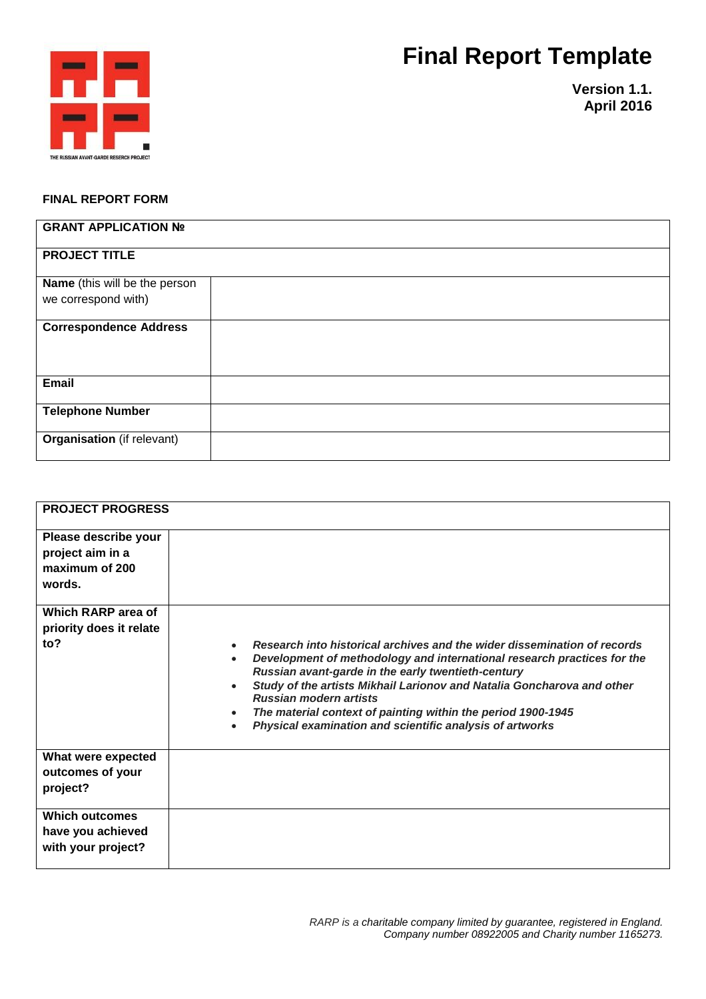## **Final Report Template**



**Version 1.1. April 2016**

## **FINAL REPORT FORM**

| <b>GRANT APPLICATION Nº</b>       |  |
|-----------------------------------|--|
| <b>PROJECT TITLE</b>              |  |
| Name (this will be the person     |  |
| we correspond with)               |  |
| <b>Correspondence Address</b>     |  |
| Email                             |  |
| <b>Telephone Number</b>           |  |
| <b>Organisation</b> (if relevant) |  |

| <b>PROJECT PROGRESS</b>                                              |                                                                                                                                                                                                                                                                                                                                                                                                                                                                                                                   |
|----------------------------------------------------------------------|-------------------------------------------------------------------------------------------------------------------------------------------------------------------------------------------------------------------------------------------------------------------------------------------------------------------------------------------------------------------------------------------------------------------------------------------------------------------------------------------------------------------|
| Please describe your<br>project aim in a<br>maximum of 200<br>words. |                                                                                                                                                                                                                                                                                                                                                                                                                                                                                                                   |
| Which RARP area of<br>priority does it relate                        |                                                                                                                                                                                                                                                                                                                                                                                                                                                                                                                   |
| to?                                                                  | Research into historical archives and the wider dissemination of records<br>$\bullet$<br>Development of methodology and international research practices for the<br>$\bullet$<br>Russian avant-garde in the early twentieth-century<br>Study of the artists Mikhail Larionov and Natalia Goncharova and other<br>$\bullet$<br><b>Russian modern artists</b><br>The material context of painting within the period 1900-1945<br>$\bullet$<br>Physical examination and scientific analysis of artworks<br>$\bullet$ |
| What were expected<br>outcomes of your<br>project?                   |                                                                                                                                                                                                                                                                                                                                                                                                                                                                                                                   |
| <b>Which outcomes</b><br>have you achieved<br>with your project?     |                                                                                                                                                                                                                                                                                                                                                                                                                                                                                                                   |